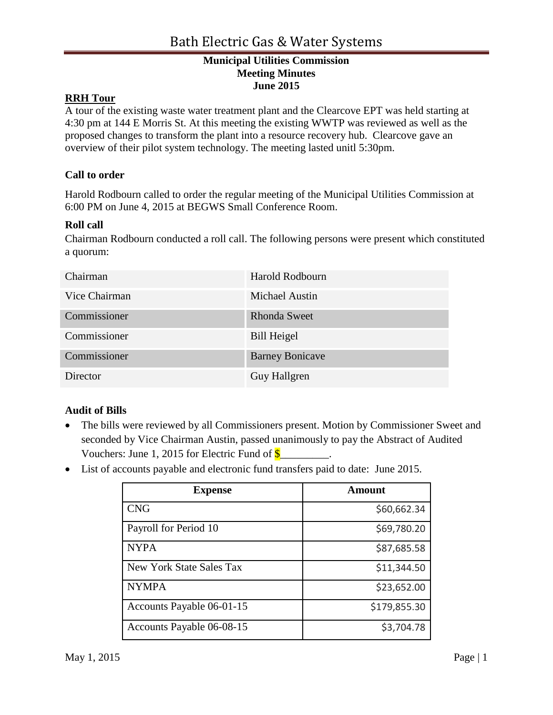## **RRH Tour**

A tour of the existing waste water treatment plant and the Clearcove EPT was held starting at 4:30 pm at 144 E Morris St. At this meeting the existing WWTP was reviewed as well as the proposed changes to transform the plant into a resource recovery hub. Clearcove gave an overview of their pilot system technology. The meeting lasted unitl 5:30pm.

## **Call to order**

Harold Rodbourn called to order the regular meeting of the Municipal Utilities Commission at 6:00 PM on June 4, 2015 at BEGWS Small Conference Room.

## **Roll call**

Chairman Rodbourn conducted a roll call. The following persons were present which constituted a quorum:

| Chairman      | Harold Rodbourn        |
|---------------|------------------------|
| Vice Chairman | <b>Michael Austin</b>  |
| Commissioner  | <b>Rhonda Sweet</b>    |
| Commissioner  | <b>Bill Heigel</b>     |
| Commissioner  | <b>Barney Bonicave</b> |
| Director      | Guy Hallgren           |

## **Audit of Bills**

- The bills were reviewed by all Commissioners present. Motion by Commissioner Sweet and seconded by Vice Chairman Austin, passed unanimously to pay the Abstract of Audited Vouchers: June 1, 2015 for Electric Fund of  $\frac{1}{2}$
- List of accounts payable and electronic fund transfers paid to date: June 2015.

| <b>Expense</b>            | Amount       |
|---------------------------|--------------|
| <b>CNG</b>                | \$60,662.34  |
| Payroll for Period 10     | \$69,780.20  |
| <b>NYPA</b>               | \$87,685.58  |
| New York State Sales Tax  | \$11,344.50  |
| <b>NYMPA</b>              | \$23,652.00  |
| Accounts Payable 06-01-15 | \$179,855.30 |
| Accounts Payable 06-08-15 | \$3,704.78   |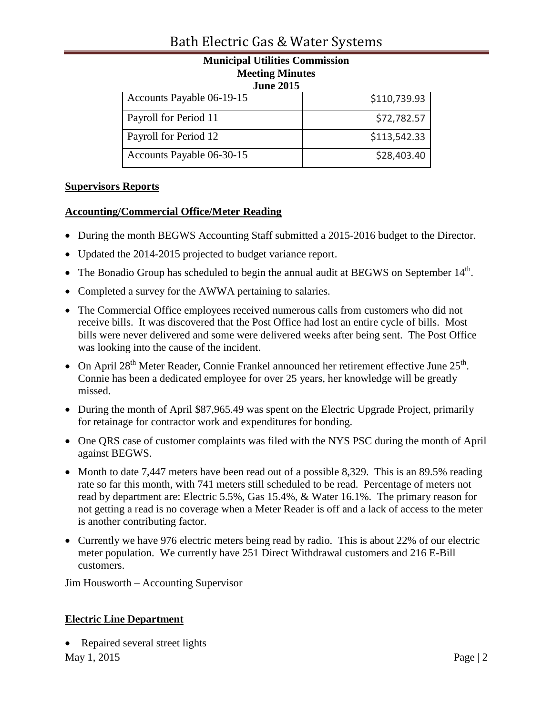## Bath Electric Gas & Water Systems

# **Municipal Utilities Commission Meeting Minutes June 2015**

| Accounts Payable 06-19-15 | \$110,739.93 |
|---------------------------|--------------|
| Payroll for Period 11     | \$72,782.57  |
| Payroll for Period 12     | \$113,542.33 |
| Accounts Payable 06-30-15 | \$28,403.40  |

## **Supervisors Reports**

## **Accounting/Commercial Office/Meter Reading**

- During the month BEGWS Accounting Staff submitted a 2015-2016 budget to the Director.
- Updated the 2014-2015 projected to budget variance report.
- The Bonadio Group has scheduled to begin the annual audit at BEGWS on September  $14<sup>th</sup>$ .
- Completed a survey for the AWWA pertaining to salaries.
- The Commercial Office employees received numerous calls from customers who did not receive bills. It was discovered that the Post Office had lost an entire cycle of bills. Most bills were never delivered and some were delivered weeks after being sent. The Post Office was looking into the cause of the incident.
- On April 28<sup>th</sup> Meter Reader, Connie Frankel announced her retirement effective June  $25<sup>th</sup>$ . Connie has been a dedicated employee for over 25 years, her knowledge will be greatly missed.
- During the month of April \$87,965.49 was spent on the Electric Upgrade Project, primarily for retainage for contractor work and expenditures for bonding.
- One QRS case of customer complaints was filed with the NYS PSC during the month of April against BEGWS.
- Month to date 7,447 meters have been read out of a possible 8,329. This is an 89.5% reading rate so far this month, with 741 meters still scheduled to be read. Percentage of meters not read by department are: Electric 5.5%, Gas 15.4%, & Water 16.1%. The primary reason for not getting a read is no coverage when a Meter Reader is off and a lack of access to the meter is another contributing factor.
- Currently we have 976 electric meters being read by radio. This is about 22% of our electric meter population. We currently have 251 Direct Withdrawal customers and 216 E-Bill customers.

Jim Housworth – Accounting Supervisor

## **Electric Line Department**

• Repaired several street lights

May 1, 2015 Page | 2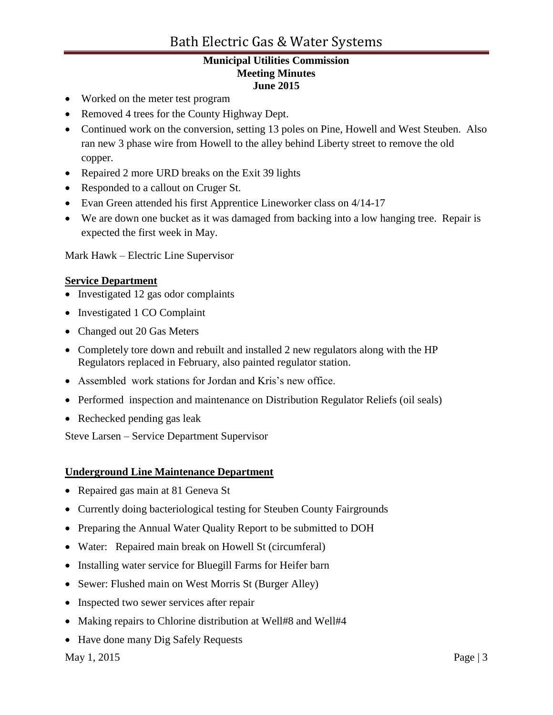- Worked on the meter test program
- Removed 4 trees for the County Highway Dept.
- Continued work on the conversion, setting 13 poles on Pine, Howell and West Steuben. Also ran new 3 phase wire from Howell to the alley behind Liberty street to remove the old copper.
- Repaired 2 more URD breaks on the Exit 39 lights
- Responded to a callout on Cruger St.
- Evan Green attended his first Apprentice Lineworker class on 4/14-17
- We are down one bucket as it was damaged from backing into a low hanging tree. Repair is expected the first week in May.

Mark Hawk – Electric Line Supervisor

#### **Service Department**

- Investigated 12 gas odor complaints
- Investigated 1 CO Complaint
- Changed out 20 Gas Meters
- Completely tore down and rebuilt and installed 2 new regulators along with the HP Regulators replaced in February, also painted regulator station.
- Assembled work stations for Jordan and Kris's new office.
- Performed inspection and maintenance on Distribution Regulator Reliefs (oil seals)
- Rechecked pending gas leak

Steve Larsen – Service Department Supervisor

## **Underground Line Maintenance Department**

- Repaired gas main at 81 Geneva St
- Currently doing bacteriological testing for Steuben County Fairgrounds
- Preparing the Annual Water Quality Report to be submitted to DOH
- Water: Repaired main break on Howell St (circumferal)
- Installing water service for Bluegill Farms for Heifer barn
- Sewer: Flushed main on West Morris St (Burger Alley)
- Inspected two sewer services after repair
- Making repairs to Chlorine distribution at Well#8 and Well#4
- Have done many Dig Safely Requests

May 1, 2015 **Page** | 3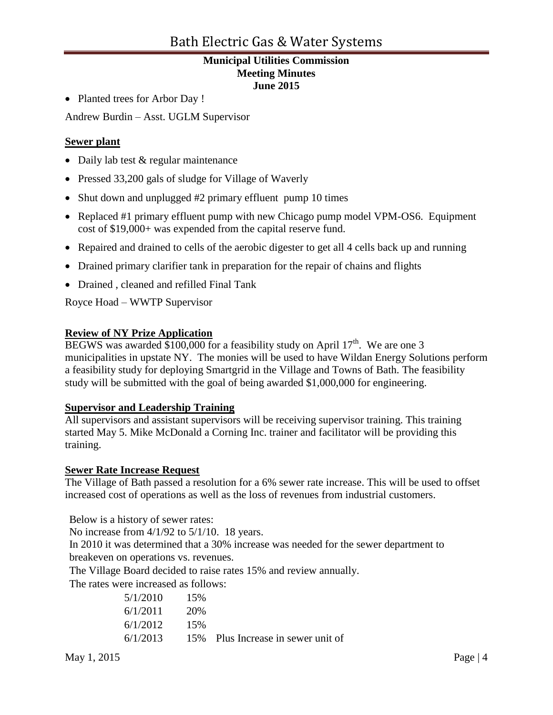• Planted trees for Arbor Day !

Andrew Burdin – Asst. UGLM Supervisor

## **Sewer plant**

- Daily lab test & regular maintenance
- Pressed 33,200 gals of sludge for Village of Waverly
- Shut down and unplugged #2 primary effluent pump 10 times
- Replaced #1 primary effluent pump with new Chicago pump model VPM-OS6. Equipment cost of \$19,000+ was expended from the capital reserve fund.
- Repaired and drained to cells of the aerobic digester to get all 4 cells back up and running
- Drained primary clarifier tank in preparation for the repair of chains and flights
- Drained , cleaned and refilled Final Tank

Royce Hoad – WWTP Supervisor

## **Review of NY Prize Application**

BEGWS was awarded \$100,000 for a feasibility study on April  $17<sup>th</sup>$ . We are one 3 municipalities in upstate NY. The monies will be used to have Wildan Energy Solutions perform a feasibility study for deploying Smartgrid in the Village and Towns of Bath. The feasibility study will be submitted with the goal of being awarded \$1,000,000 for engineering.

## **Supervisor and Leadership Training**

All supervisors and assistant supervisors will be receiving supervisor training. This training started May 5. Mike McDonald a Corning Inc. trainer and facilitator will be providing this training.

## **Sewer Rate Increase Request**

The Village of Bath passed a resolution for a 6% sewer rate increase. This will be used to offset increased cost of operations as well as the loss of revenues from industrial customers.

Below is a history of sewer rates:

No increase from 4/1/92 to 5/1/10. 18 years.

In 2010 it was determined that a 30% increase was needed for the sewer department to breakeven on operations vs. revenues.

The Village Board decided to raise rates 15% and review annually.

The rates were increased as follows:

| 5/1/2010 | 15% |                                    |
|----------|-----|------------------------------------|
| 6/1/2011 | 20% |                                    |
| 6/1/2012 | 15% |                                    |
| 6/1/2013 |     | 15% Plus Increase in sewer unit of |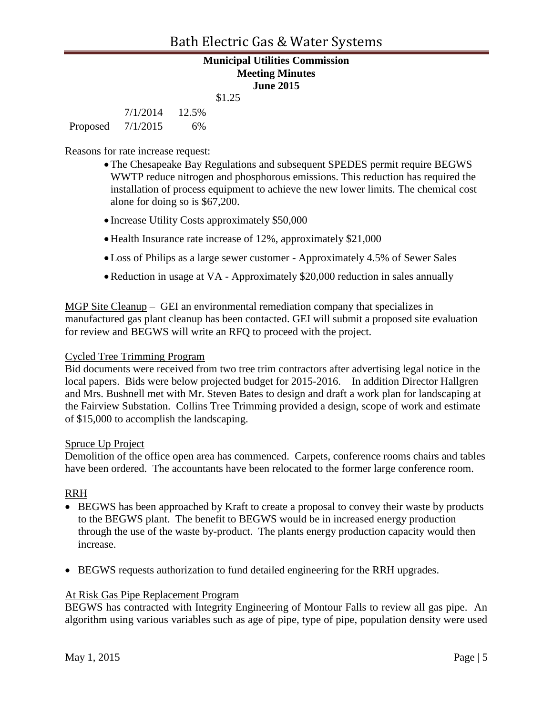7/1/2014 12.5% Proposed 7/1/2015 6%

Reasons for rate increase request:

- The Chesapeake Bay Regulations and subsequent SPEDES permit require BEGWS WWTP reduce nitrogen and phosphorous emissions. This reduction has required the installation of process equipment to achieve the new lower limits. The chemical cost alone for doing so is \$67,200.
- Increase Utility Costs approximately \$50,000
- Health Insurance rate increase of 12%, approximately \$21,000
- Loss of Philips as a large sewer customer Approximately 4.5% of Sewer Sales
- Reduction in usage at VA Approximately \$20,000 reduction in sales annually

MGP Site Cleanup – GEI an environmental remediation company that specializes in manufactured gas plant cleanup has been contacted. GEI will submit a proposed site evaluation for review and BEGWS will write an RFQ to proceed with the project.

#### Cycled Tree Trimming Program

Bid documents were received from two tree trim contractors after advertising legal notice in the local papers. Bids were below projected budget for 2015-2016. In addition Director Hallgren and Mrs. Bushnell met with Mr. Steven Bates to design and draft a work plan for landscaping at the Fairview Substation. Collins Tree Trimming provided a design, scope of work and estimate of \$15,000 to accomplish the landscaping.

#### Spruce Up Project

Demolition of the office open area has commenced. Carpets, conference rooms chairs and tables have been ordered. The accountants have been relocated to the former large conference room.

## RRH

- BEGWS has been approached by Kraft to create a proposal to convey their waste by products to the BEGWS plant. The benefit to BEGWS would be in increased energy production through the use of the waste by-product. The plants energy production capacity would then increase.
- BEGWS requests authorization to fund detailed engineering for the RRH upgrades.

#### At Risk Gas Pipe Replacement Program

BEGWS has contracted with Integrity Engineering of Montour Falls to review all gas pipe. An algorithm using various variables such as age of pipe, type of pipe, population density were used